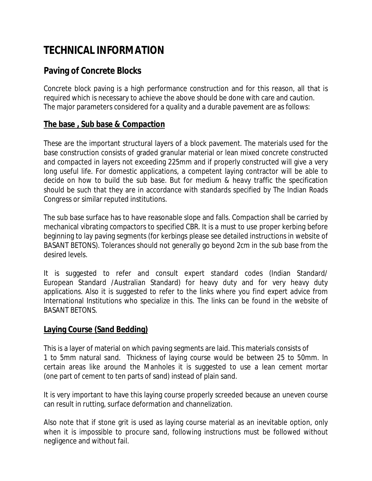# **TECHNICAL INFORMATION**

## **Paving of Concrete Blocks**

Concrete block paving is a high performance construction and for this reason, all that is required which is necessary to achieve the above should be done with care and caution. The major parameters considered for a quality and a durable pavement are as follows:

### **The base , Sub base & Compaction**

These are the important structural layers of a block pavement. The materials used for the base construction consists of graded granular material or lean mixed concrete constructed and compacted in layers not exceeding 225mm and if properly constructed will give a very long useful life. For domestic applications, a competent laying contractor will be able to decide on how to build the sub base. But for medium & heavy traffic the specification should be such that they are in accordance with standards specified by The Indian Roads Congress or similar reputed institutions.

The sub base surface has to have reasonable slope and falls. Compaction shall be carried by mechanical vibrating compactors to specified CBR. It is a must to use proper kerbing before beginning to lay paving segments (for kerbings please see detailed instructions in website of BASANT BETONS). Tolerances should not generally go beyond 2cm in the sub base from the desired levels.

It is suggested to refer and consult expert standard codes (Indian Standard/ European Standard /Australian Standard) for heavy duty and for very heavy duty applications. Also it is suggested to refer to the links where you find expert advice from International Institutions who specialize in this. The links can be found in the website of BASANT BETONS.

#### **Laying Course (Sand Bedding)**

This is a layer of material on which paving segments are laid. This materials consists of 1 to 5mm natural sand. Thickness of laying course would be between 25 to 50mm. In certain areas like around the Manholes it is suggested to use a lean cement mortar (one part of cement to ten parts of sand) instead of plain sand.

It is very important to have this laying course properly screeded because an uneven course can result in rutting, surface deformation and channelization.

Also note that if stone grit is used as laying course material as an inevitable option, only when it is impossible to procure sand, following instructions must be followed without negligence and without fail.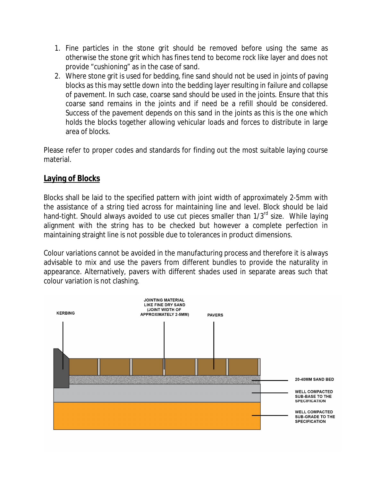- 1. Fine particles in the stone grit should be removed before using the same as otherwise the stone grit which has fines tend to become rock like layer and does not provide "cushioning" as in the case of sand.
- 2. Where stone grit is used for bedding, fine sand should not be used in joints of paving blocks as this may settle down into the bedding layer resulting in failure and collapse of pavement. In such case, coarse sand should be used in the joints. Ensure that this coarse sand remains in the joints and if need be a refill should be considered. Success of the pavement depends on this sand in the joints as this is the one which holds the blocks together allowing vehicular loads and forces to distribute in large area of blocks.

Please refer to proper codes and standards for finding out the most suitable laying course material.

#### **Laying of Blocks**

Blocks shall be laid to the specified pattern with joint width of approximately 2-5mm with the assistance of a string tied across for maintaining line and level. Block should be laid hand-tight. Should always avoided to use cut pieces smaller than 1/3<sup>rd</sup> size. While laying alignment with the string has to be checked but however a complete perfection in maintaining straight line is not possible due to tolerances in product dimensions.

Colour variations cannot be avoided in the manufacturing process and therefore it is always advisable to mix and use the pavers from different bundles to provide the naturality in appearance. Alternatively, pavers with different shades used in separate areas such that colour variation is not clashing.

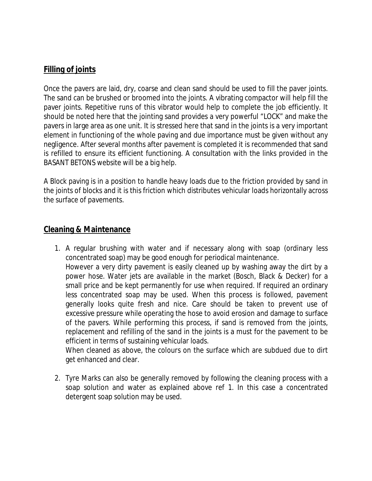#### **Filling of joints**

Once the pavers are laid, dry, coarse and clean sand should be used to fill the paver joints. The sand can be brushed or broomed into the joints. A vibrating compactor will help fill the paver joints. Repetitive runs of this vibrator would help to complete the job efficiently. It should be noted here that the jointing sand provides a very powerful "LOCK" and make the pavers in large area as one unit. It is stressed here that sand in the joints is a very important element in functioning of the whole paving and due importance must be given without any negligence. After several months after pavement is completed it is recommended that sand is refilled to ensure its efficient functioning. A consultation with the links provided in the BASANT BETONS website will be a big help.

A Block paving is in a position to handle heavy loads due to the friction provided by sand in the joints of blocks and it is this friction which distributes vehicular loads horizontally across the surface of pavements.

#### **Cleaning & Maintenance**

1. A regular brushing with water and if necessary along with soap (ordinary less concentrated soap) may be good enough for periodical maintenance. However a very dirty pavement is easily cleaned up by washing away the dirt by a power hose. Water jets are available in the market (Bosch, Black & Decker) for a small price and be kept permanently for use when required. If required an ordinary less concentrated soap may be used. When this process is followed, pavement generally looks quite fresh and nice. Care should be taken to prevent use of excessive pressure while operating the hose to avoid erosion and damage to surface of the pavers. While performing this process, if sand is removed from the joints, replacement and refilling of the sand in the joints is a must for the pavement to be efficient in terms of sustaining vehicular loads.

When cleaned as above, the colours on the surface which are subdued due to dirt get enhanced and clear.

2. Tyre Marks can also be generally removed by following the cleaning process with a soap solution and water as explained above ref 1. In this case a concentrated detergent soap solution may be used.